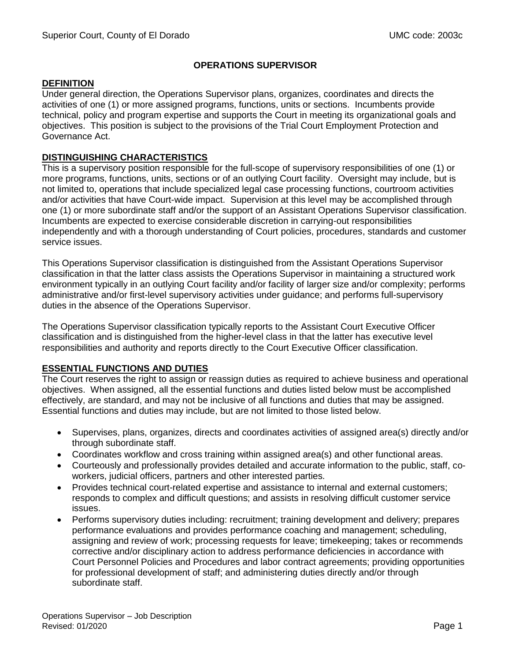### **OPERATIONS SUPERVISOR**

#### **DEFINITION**

Under general direction, the Operations Supervisor plans, organizes, coordinates and directs the activities of one (1) or more assigned programs, functions, units or sections. Incumbents provide technical, policy and program expertise and supports the Court in meeting its organizational goals and objectives. This position is subject to the provisions of the Trial Court Employment Protection and Governance Act.

### **DISTINGUISHING CHARACTERISTICS**

This is a supervisory position responsible for the full-scope of supervisory responsibilities of one (1) or more programs, functions, units, sections or of an outlying Court facility. Oversight may include, but is not limited to, operations that include specialized legal case processing functions, courtroom activities and/or activities that have Court-wide impact. Supervision at this level may be accomplished through one (1) or more subordinate staff and/or the support of an Assistant Operations Supervisor classification. Incumbents are expected to exercise considerable discretion in carrying-out responsibilities independently and with a thorough understanding of Court policies, procedures, standards and customer service issues.

This Operations Supervisor classification is distinguished from the Assistant Operations Supervisor classification in that the latter class assists the Operations Supervisor in maintaining a structured work environment typically in an outlying Court facility and/or facility of larger size and/or complexity; performs administrative and/or first-level supervisory activities under guidance; and performs full-supervisory duties in the absence of the Operations Supervisor.

The Operations Supervisor classification typically reports to the Assistant Court Executive Officer classification and is distinguished from the higher-level class in that the latter has executive level responsibilities and authority and reports directly to the Court Executive Officer classification.

### **ESSENTIAL FUNCTIONS AND DUTIES**

The Court reserves the right to assign or reassign duties as required to achieve business and operational objectives. When assigned, all the essential functions and duties listed below must be accomplished effectively, are standard, and may not be inclusive of all functions and duties that may be assigned. Essential functions and duties may include, but are not limited to those listed below.

- Supervises, plans, organizes, directs and coordinates activities of assigned area(s) directly and/or through subordinate staff.
- Coordinates workflow and cross training within assigned area(s) and other functional areas.
- Courteously and professionally provides detailed and accurate information to the public, staff, coworkers, judicial officers, partners and other interested parties.
- Provides technical court-related expertise and assistance to internal and external customers; responds to complex and difficult questions; and assists in resolving difficult customer service issues.
- Performs supervisory duties including: recruitment; training development and delivery; prepares performance evaluations and provides performance coaching and management; scheduling, assigning and review of work; processing requests for leave; timekeeping; takes or recommends corrective and/or disciplinary action to address performance deficiencies in accordance with Court Personnel Policies and Procedures and labor contract agreements; providing opportunities for professional development of staff; and administering duties directly and/or through subordinate staff.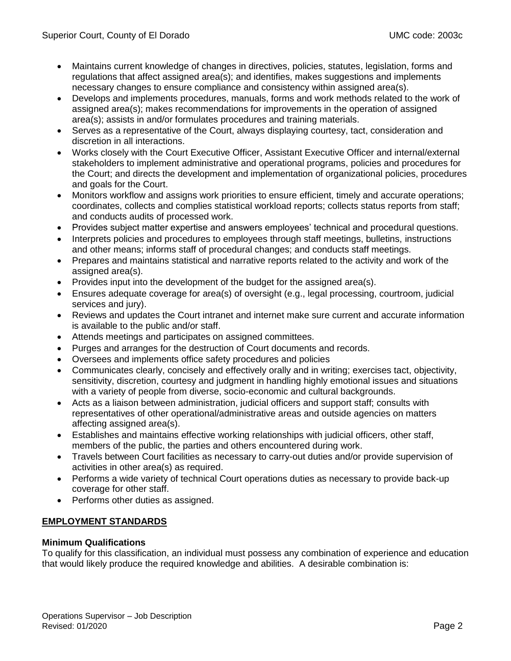- Maintains current knowledge of changes in directives, policies, statutes, legislation, forms and regulations that affect assigned area(s); and identifies, makes suggestions and implements necessary changes to ensure compliance and consistency within assigned area(s).
- Develops and implements procedures, manuals, forms and work methods related to the work of assigned area(s); makes recommendations for improvements in the operation of assigned area(s); assists in and/or formulates procedures and training materials.
- Serves as a representative of the Court, always displaying courtesy, tact, consideration and discretion in all interactions.
- Works closely with the Court Executive Officer, Assistant Executive Officer and internal/external stakeholders to implement administrative and operational programs, policies and procedures for the Court; and directs the development and implementation of organizational policies, procedures and goals for the Court.
- Monitors workflow and assigns work priorities to ensure efficient, timely and accurate operations; coordinates, collects and complies statistical workload reports; collects status reports from staff; and conducts audits of processed work.
- Provides subject matter expertise and answers employees' technical and procedural questions.
- Interprets policies and procedures to employees through staff meetings, bulletins, instructions and other means; informs staff of procedural changes; and conducts staff meetings.
- Prepares and maintains statistical and narrative reports related to the activity and work of the assigned area(s).
- Provides input into the development of the budget for the assigned area(s).
- Ensures adequate coverage for area(s) of oversight (e.g., legal processing, courtroom, judicial services and jury).
- Reviews and updates the Court intranet and internet make sure current and accurate information is available to the public and/or staff.
- Attends meetings and participates on assigned committees.
- Purges and arranges for the destruction of Court documents and records.
- Oversees and implements office safety procedures and policies
- Communicates clearly, concisely and effectively orally and in writing; exercises tact, objectivity, sensitivity, discretion, courtesy and judgment in handling highly emotional issues and situations with a variety of people from diverse, socio-economic and cultural backgrounds.
- Acts as a liaison between administration, judicial officers and support staff; consults with representatives of other operational/administrative areas and outside agencies on matters affecting assigned area(s).
- Establishes and maintains effective working relationships with judicial officers, other staff, members of the public, the parties and others encountered during work.
- Travels between Court facilities as necessary to carry-out duties and/or provide supervision of activities in other area(s) as required.
- Performs a wide variety of technical Court operations duties as necessary to provide back-up coverage for other staff.
- Performs other duties as assigned.

# **EMPLOYMENT STANDARDS**

### **Minimum Qualifications**

To qualify for this classification, an individual must possess any combination of experience and education that would likely produce the required knowledge and abilities. A desirable combination is: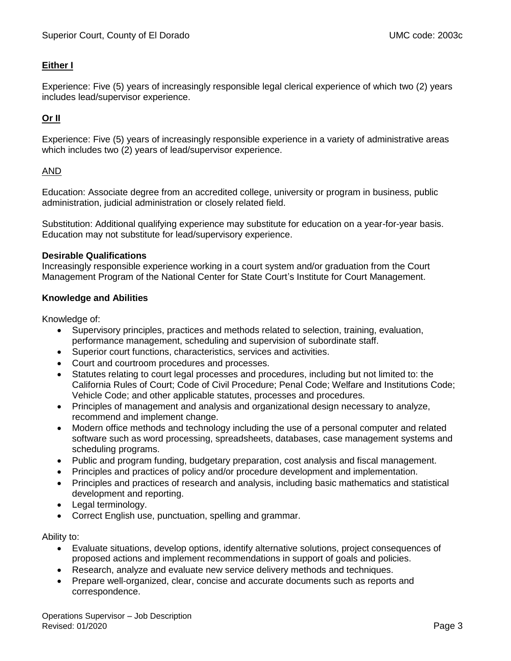## **Either I**

Experience: Five (5) years of increasingly responsible legal clerical experience of which two (2) years includes lead/supervisor experience.

# **Or II**

Experience: Five (5) years of increasingly responsible experience in a variety of administrative areas which includes two (2) years of lead/supervisor experience.

### AND

Education: Associate degree from an accredited college, university or program in business, public administration, judicial administration or closely related field.

Substitution: Additional qualifying experience may substitute for education on a year-for-year basis. Education may not substitute for lead/supervisory experience.

#### **Desirable Qualifications**

Increasingly responsible experience working in a court system and/or graduation from the Court Management Program of the National Center for State Court's Institute for Court Management.

### **Knowledge and Abilities**

Knowledge of:

- Supervisory principles, practices and methods related to selection, training, evaluation, performance management, scheduling and supervision of subordinate staff.
- Superior court functions, characteristics, services and activities.
- Court and courtroom procedures and processes.
- Statutes relating to court legal processes and procedures, including but not limited to: the California Rules of Court; Code of Civil Procedure; Penal Code; Welfare and Institutions Code; Vehicle Code; and other applicable statutes, processes and procedures.
- Principles of management and analysis and organizational design necessary to analyze, recommend and implement change.
- Modern office methods and technology including the use of a personal computer and related software such as word processing, spreadsheets, databases, case management systems and scheduling programs.
- Public and program funding, budgetary preparation, cost analysis and fiscal management.
- Principles and practices of policy and/or procedure development and implementation.
- Principles and practices of research and analysis, including basic mathematics and statistical development and reporting.
- Legal terminology.
- Correct English use, punctuation, spelling and grammar.

Ability to:

- Evaluate situations, develop options, identify alternative solutions, project consequences of proposed actions and implement recommendations in support of goals and policies.
- Research, analyze and evaluate new service delivery methods and techniques.
- Prepare well-organized, clear, concise and accurate documents such as reports and correspondence.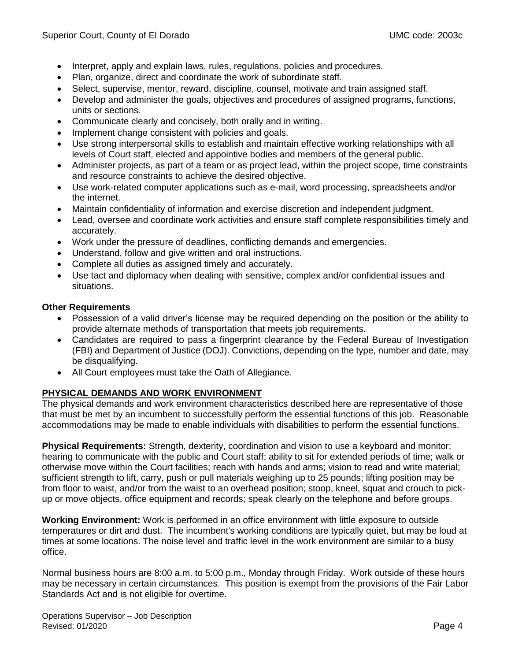- Interpret, apply and explain laws, rules, regulations, policies and procedures.
- Plan, organize, direct and coordinate the work of subordinate staff.
- Select, supervise, mentor, reward, discipline, counsel, motivate and train assigned staff.
- Develop and administer the goals, objectives and procedures of assigned programs, functions, units or sections.
- Communicate clearly and concisely, both orally and in writing.
- Implement change consistent with policies and goals.
- Use strong interpersonal skills to establish and maintain effective working relationships with all levels of Court staff, elected and appointive bodies and members of the general public.
- Administer projects, as part of a team or as project lead, within the project scope, time constraints and resource constraints to achieve the desired objective.
- Use work-related computer applications such as e-mail, word processing, spreadsheets and/or the internet.
- Maintain confidentiality of information and exercise discretion and independent judgment.
- Lead, oversee and coordinate work activities and ensure staff complete responsibilities timely and accurately.
- Work under the pressure of deadlines, conflicting demands and emergencies.
- Understand, follow and give written and oral instructions.
- Complete all duties as assigned timely and accurately.
- Use tact and diplomacy when dealing with sensitive, complex and/or confidential issues and situations.

### **Other Requirements**

- Possession of a valid driver's license may be required depending on the position or the ability to provide alternate methods of transportation that meets job requirements.
- Candidates are required to pass a fingerprint clearance by the Federal Bureau of Investigation (FBI) and Department of Justice (DOJ). Convictions, depending on the type, number and date, may be disqualifying.
- All Court employees must take the Oath of Allegiance.

# **PHYSICAL DEMANDS AND WORK ENVIRONMENT**

The physical demands and work environment characteristics described here are representative of those that must be met by an incumbent to successfully perform the essential functions of this job. Reasonable accommodations may be made to enable individuals with disabilities to perform the essential functions.

**Physical Requirements:** Strength, dexterity, coordination and vision to use a keyboard and monitor; hearing to communicate with the public and Court staff; ability to sit for extended periods of time; walk or otherwise move within the Court facilities; reach with hands and arms; vision to read and write material; sufficient strength to lift, carry, push or pull materials weighing up to 25 pounds; lifting position may be from floor to waist, and/or from the waist to an overhead position; stoop, kneel, squat and crouch to pickup or move objects, office equipment and records; speak clearly on the telephone and before groups.

**Working Environment:** Work is performed in an office environment with little exposure to outside temperatures or dirt and dust. The incumbent's working conditions are typically quiet, but may be loud at times at some locations. The noise level and traffic level in the work environment are similar to a busy office.

Normal business hours are 8:00 a.m. to 5:00 p.m., Monday through Friday. Work outside of these hours may be necessary in certain circumstances. This position is exempt from the provisions of the Fair Labor Standards Act and is not eligible for overtime.